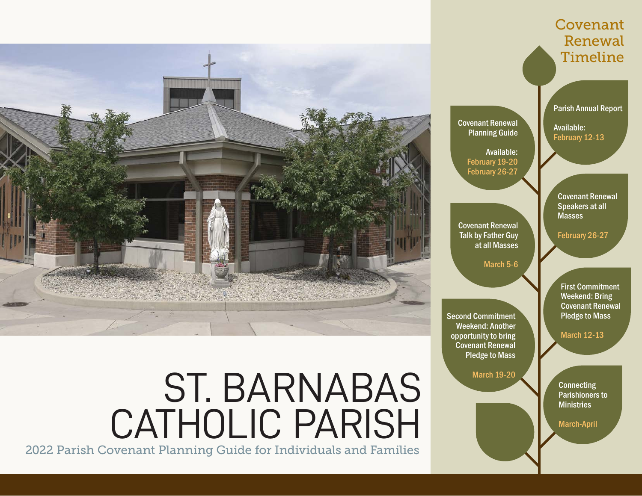

# ST. BARNABAS CATHOLIC PARISH

2022 Parish Covenant Planning Guide for Individuals and Families

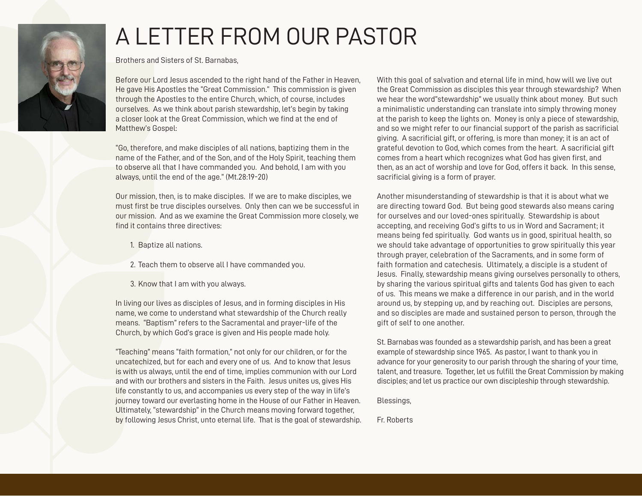

# A LETTER FROM OUR PASTOR

Brothers and Sisters of St. Barnabas,

Before our Lord Jesus ascended to the right hand of the Father in Heaven, He gave His Apostles the "Great Commission." This commission is given through the Apostles to the entire Church, which, of course, includes ourselves. As we think about parish stewardship, let's begin by taking a closer look at the Great Commission, which we find at the end of Matthew's Gospel:

"Go, therefore, and make disciples of all nations, baptizing them in the name of the Father, and of the Son, and of the Holy Spirit, teaching them to observe all that I have commanded you. And behold, I am with you always, until the end of the age." (Mt.28:19-20)

Our mission, then, is to make disciples. If we are to make disciples, we must first be true disciples ourselves. Only then can we be successful in our mission. And as we examine the Great Commission more closely, we find it contains three directives:

- 1. Baptize all nations.
- 2. Teach them to observe all I have commanded you.
- 3. Know that I am with you always.

In living our lives as disciples of Jesus, and in forming disciples in His name, we come to understand what stewardship of the Church really means. "Baptism" refers to the Sacramental and prayer-life of the Church, by which God's grace is given and His people made holy.

"Teaching" means "faith formation," not only for our children, or for the uncatechized, but for each and every one of us. And to know that Jesus is with us always, until the end of time, implies communion with our Lord and with our brothers and sisters in the Faith. Jesus unites us, gives His life constantly to us, and accompanies us every step of the way in life's journey toward our everlasting home in the House of our Father in Heaven. Ultimately, "stewardship" in the Church means moving forward together, by following Jesus Christ, unto eternal life. That is the goal of stewardship. With this goal of salvation and eternal life in mind, how will we live out the Great Commission as disciples this year through stewardship? When we hear the word"stewardship" we usually think about money. But such a minimalistic understanding can translate into simply throwing money at the parish to keep the lights on. Money is only a piece of stewardship, and so we might refer to our financial support of the parish as sacrificial giving. A sacrificial gift, or offering, is more than money; it is an act of grateful devotion to God, which comes from the heart. A sacrificial gift comes from a heart which recognizes what God has given first, and then, as an act of worship and love for God, offers it back. In this sense, sacrificial giving is a form of prayer.

Another misunderstanding of stewardship is that it is about what we are directing toward God. But being good stewards also means caring for ourselves and our loved-ones spiritually. Stewardship is about accepting, and receiving God's gifts to us in Word and Sacrament; it means being fed spiritually. God wants us in good, spiritual health, so we should take advantage of opportunities to grow spiritually this year through prayer, celebration of the Sacraments, and in some form of faith formation and catechesis. Ultimately, a disciple is a student of Jesus. Finally, stewardship means giving ourselves personally to others, by sharing the various spiritual gifts and talents God has given to each of us. This means we make a difference in our parish, and in the world around us, by stepping up, and by reaching out. Disciples are persons, and so disciples are made and sustained person to person, through the gift of self to one another.

St. Barnabas was founded as a stewardship parish, and has been a great example of stewardship since 1965. As pastor, I want to thank you in advance for your generosity to our parish through the sharing of your time, talent, and treasure. Together, let us fulfill the Great Commission by making disciples; and let us practice our own discipleship through stewardship.

Blessings,

Fr. Roberts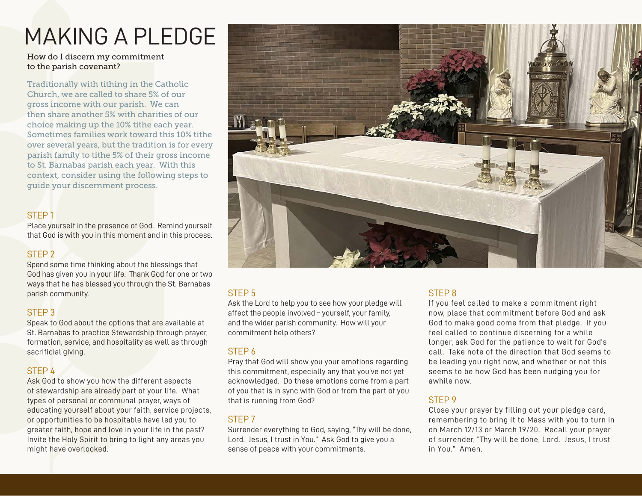# MAKING A PLEDGE

#### How do I discern my commitment to the parish covenant?

Traditionally with tithing in the Catholic Church, we are called to share 5% of our gross income with our parish. We can then share another 5% with charities of our choice making up the 10% tithe each year. Sometimes families work toward this 10% tithe over several years, but the tradition is for every parish family to tithe 5% of their gross income to St. Barnabas parish each year. With this context, consider using the following steps to guide your discernment process.

### STEP 1

Place yourself in the presence of God. Remind yourself that God is with you in this moment and in this process.

# STEP 2

Spend some time thinking about the blessings that God has given you in your life. Thank God for one or two ways that he has blessed you through the St. Barnabas parish community.

#### STEP 3

Speak to God about the options that are available at St. Barnabas to practice Stewardship through prayer, formation, service, and hospitality as well as through sacrificial giving.

# STEP 4

Ask God to show you how the different aspects of stewardship are already part of your life. What types of personal or communal prayer, ways of educating yourself about your faith, service projects, or opportunities to be hospitable have led you to greater faith, hope and love in your life in the past? Invite the Holy Spirit to bring to light any areas you might have overlooked.



# STEP 5

Ask the Lord to help you to see how your pledge will affect the people involved – yourself, your family, and the wider parish community. How will your commitment help others?

#### STEP 6

Pray that God will show you your emotions regarding this commitment, especially any that you've not yet acknowledged. Do these emotions come from a part of you that is in sync with God or from the part of you that is running from God?

# STEP 7

Surrender everything to God, saying, "Thy will be done, Lord. Jesus, I trust in You." Ask God to give you a sense of peace with your commitments.

# STEP 8

If you feel called to make a commitment right now, place that commitment before God and ask God to make good come from that pledge. If you feel called to continue discerning for a while longer, ask God for the patience to wait for God's call. Take note of the direction that God seems to be leading you right now, and whether or not this seems to be how God has been nudging you for awhile now.

# STEP 9

Close your prayer by filling out your pledge card, remembering to bring it to Mass with you to turn in on March 12/13 or March 19/20. Recall your prayer of surrender, "Thy will be done, Lord. Jesus, I trust in You." Amen.